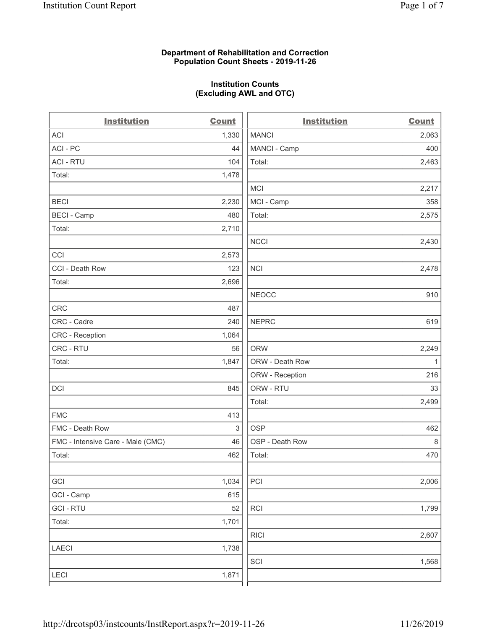### **Department of Rehabilitation and Correction Population Count Sheets - 2019-11-26**

# **Institution Counts (Excluding AWL and OTC)**

| ACI<br>1,330<br><b>MANCI</b><br>2,063<br>ACI - PC<br>44<br>MANCI - Camp<br>400<br>Total:<br><b>ACI - RTU</b><br>2,463<br>104<br>Total:<br>1,478<br><b>MCI</b><br>2,217<br>2,230<br>MCI - Camp<br><b>BECI</b><br>358<br>Total:<br><b>BECI - Camp</b><br>480<br>2,575<br>Total:<br>2,710<br><b>NCCI</b><br>2,430<br>CCI<br>2,573<br><b>NCI</b><br>CCI - Death Row<br>123<br>2,478<br>Total:<br>2,696<br><b>NEOCC</b><br>910<br><b>CRC</b><br>487<br><b>NEPRC</b><br>CRC - Cadre<br>240<br>619<br>1,064<br>CRC - Reception<br>CRC - RTU<br>56<br><b>ORW</b><br>2,249<br>Total:<br>1,847<br>ORW - Death Row<br>1<br>ORW - Reception<br>216<br>ORW - RTU<br><b>DCI</b><br>845<br>33<br>Total:<br>2,499<br><b>FMC</b><br>413<br><b>OSP</b><br>FMC - Death Row<br>3<br>462<br>46<br>OSP - Death Row<br>$\,8\,$<br>FMC - Intensive Care - Male (CMC)<br>Total:<br>462<br>Total:<br>470<br>PCI<br>GCI<br>1,034<br>2,006<br>GCI - Camp<br>615<br><b>GCI-RTU</b><br>52<br>RCI<br>1,799<br>1,701<br>Total:<br><b>RICI</b><br>2,607<br>1,738<br><b>LAECI</b><br>SCI<br>1,568<br><b>LECI</b><br>1,871 | <b>Institution</b> | <b>Count</b> | <b>Institution</b> | <b>Count</b> |
|-----------------------------------------------------------------------------------------------------------------------------------------------------------------------------------------------------------------------------------------------------------------------------------------------------------------------------------------------------------------------------------------------------------------------------------------------------------------------------------------------------------------------------------------------------------------------------------------------------------------------------------------------------------------------------------------------------------------------------------------------------------------------------------------------------------------------------------------------------------------------------------------------------------------------------------------------------------------------------------------------------------------------------------------------------------------------------------------|--------------------|--------------|--------------------|--------------|
|                                                                                                                                                                                                                                                                                                                                                                                                                                                                                                                                                                                                                                                                                                                                                                                                                                                                                                                                                                                                                                                                                         |                    |              |                    |              |
|                                                                                                                                                                                                                                                                                                                                                                                                                                                                                                                                                                                                                                                                                                                                                                                                                                                                                                                                                                                                                                                                                         |                    |              |                    |              |
|                                                                                                                                                                                                                                                                                                                                                                                                                                                                                                                                                                                                                                                                                                                                                                                                                                                                                                                                                                                                                                                                                         |                    |              |                    |              |
|                                                                                                                                                                                                                                                                                                                                                                                                                                                                                                                                                                                                                                                                                                                                                                                                                                                                                                                                                                                                                                                                                         |                    |              |                    |              |
|                                                                                                                                                                                                                                                                                                                                                                                                                                                                                                                                                                                                                                                                                                                                                                                                                                                                                                                                                                                                                                                                                         |                    |              |                    |              |
|                                                                                                                                                                                                                                                                                                                                                                                                                                                                                                                                                                                                                                                                                                                                                                                                                                                                                                                                                                                                                                                                                         |                    |              |                    |              |
|                                                                                                                                                                                                                                                                                                                                                                                                                                                                                                                                                                                                                                                                                                                                                                                                                                                                                                                                                                                                                                                                                         |                    |              |                    |              |
|                                                                                                                                                                                                                                                                                                                                                                                                                                                                                                                                                                                                                                                                                                                                                                                                                                                                                                                                                                                                                                                                                         |                    |              |                    |              |
|                                                                                                                                                                                                                                                                                                                                                                                                                                                                                                                                                                                                                                                                                                                                                                                                                                                                                                                                                                                                                                                                                         |                    |              |                    |              |
|                                                                                                                                                                                                                                                                                                                                                                                                                                                                                                                                                                                                                                                                                                                                                                                                                                                                                                                                                                                                                                                                                         |                    |              |                    |              |
|                                                                                                                                                                                                                                                                                                                                                                                                                                                                                                                                                                                                                                                                                                                                                                                                                                                                                                                                                                                                                                                                                         |                    |              |                    |              |
|                                                                                                                                                                                                                                                                                                                                                                                                                                                                                                                                                                                                                                                                                                                                                                                                                                                                                                                                                                                                                                                                                         |                    |              |                    |              |
|                                                                                                                                                                                                                                                                                                                                                                                                                                                                                                                                                                                                                                                                                                                                                                                                                                                                                                                                                                                                                                                                                         |                    |              |                    |              |
|                                                                                                                                                                                                                                                                                                                                                                                                                                                                                                                                                                                                                                                                                                                                                                                                                                                                                                                                                                                                                                                                                         |                    |              |                    |              |
|                                                                                                                                                                                                                                                                                                                                                                                                                                                                                                                                                                                                                                                                                                                                                                                                                                                                                                                                                                                                                                                                                         |                    |              |                    |              |
|                                                                                                                                                                                                                                                                                                                                                                                                                                                                                                                                                                                                                                                                                                                                                                                                                                                                                                                                                                                                                                                                                         |                    |              |                    |              |
|                                                                                                                                                                                                                                                                                                                                                                                                                                                                                                                                                                                                                                                                                                                                                                                                                                                                                                                                                                                                                                                                                         |                    |              |                    |              |
|                                                                                                                                                                                                                                                                                                                                                                                                                                                                                                                                                                                                                                                                                                                                                                                                                                                                                                                                                                                                                                                                                         |                    |              |                    |              |
|                                                                                                                                                                                                                                                                                                                                                                                                                                                                                                                                                                                                                                                                                                                                                                                                                                                                                                                                                                                                                                                                                         |                    |              |                    |              |
|                                                                                                                                                                                                                                                                                                                                                                                                                                                                                                                                                                                                                                                                                                                                                                                                                                                                                                                                                                                                                                                                                         |                    |              |                    |              |
|                                                                                                                                                                                                                                                                                                                                                                                                                                                                                                                                                                                                                                                                                                                                                                                                                                                                                                                                                                                                                                                                                         |                    |              |                    |              |
|                                                                                                                                                                                                                                                                                                                                                                                                                                                                                                                                                                                                                                                                                                                                                                                                                                                                                                                                                                                                                                                                                         |                    |              |                    |              |
|                                                                                                                                                                                                                                                                                                                                                                                                                                                                                                                                                                                                                                                                                                                                                                                                                                                                                                                                                                                                                                                                                         |                    |              |                    |              |
|                                                                                                                                                                                                                                                                                                                                                                                                                                                                                                                                                                                                                                                                                                                                                                                                                                                                                                                                                                                                                                                                                         |                    |              |                    |              |
|                                                                                                                                                                                                                                                                                                                                                                                                                                                                                                                                                                                                                                                                                                                                                                                                                                                                                                                                                                                                                                                                                         |                    |              |                    |              |
|                                                                                                                                                                                                                                                                                                                                                                                                                                                                                                                                                                                                                                                                                                                                                                                                                                                                                                                                                                                                                                                                                         |                    |              |                    |              |
|                                                                                                                                                                                                                                                                                                                                                                                                                                                                                                                                                                                                                                                                                                                                                                                                                                                                                                                                                                                                                                                                                         |                    |              |                    |              |
|                                                                                                                                                                                                                                                                                                                                                                                                                                                                                                                                                                                                                                                                                                                                                                                                                                                                                                                                                                                                                                                                                         |                    |              |                    |              |
|                                                                                                                                                                                                                                                                                                                                                                                                                                                                                                                                                                                                                                                                                                                                                                                                                                                                                                                                                                                                                                                                                         |                    |              |                    |              |
|                                                                                                                                                                                                                                                                                                                                                                                                                                                                                                                                                                                                                                                                                                                                                                                                                                                                                                                                                                                                                                                                                         |                    |              |                    |              |
|                                                                                                                                                                                                                                                                                                                                                                                                                                                                                                                                                                                                                                                                                                                                                                                                                                                                                                                                                                                                                                                                                         |                    |              |                    |              |
|                                                                                                                                                                                                                                                                                                                                                                                                                                                                                                                                                                                                                                                                                                                                                                                                                                                                                                                                                                                                                                                                                         |                    |              |                    |              |
|                                                                                                                                                                                                                                                                                                                                                                                                                                                                                                                                                                                                                                                                                                                                                                                                                                                                                                                                                                                                                                                                                         |                    |              |                    |              |
|                                                                                                                                                                                                                                                                                                                                                                                                                                                                                                                                                                                                                                                                                                                                                                                                                                                                                                                                                                                                                                                                                         |                    |              |                    |              |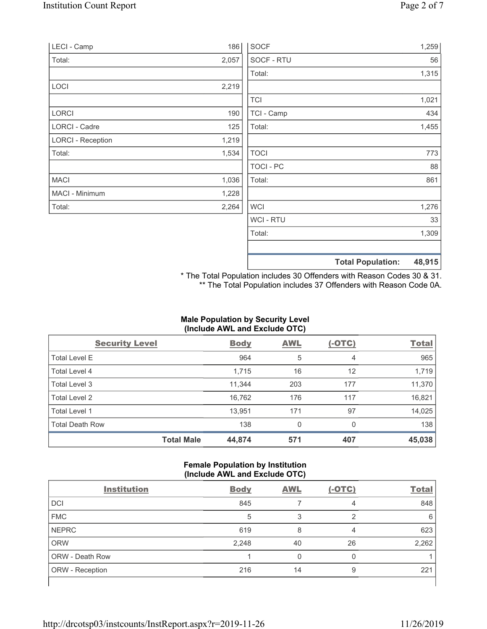| LECI - Camp              | 186   | <b>SOCF</b>    | 1,259                              |
|--------------------------|-------|----------------|------------------------------------|
| Total:                   | 2,057 | SOCF - RTU     | 56                                 |
|                          |       | Total:         | 1,315                              |
| LOCI                     | 2,219 |                |                                    |
|                          |       | <b>TCI</b>     | 1,021                              |
| LORCI                    | 190   | TCI - Camp     | 434                                |
| LORCI - Cadre            | 125   | Total:         | 1,455                              |
| <b>LORCI - Reception</b> | 1,219 |                |                                    |
| Total:                   | 1,534 | <b>TOCI</b>    | 773                                |
|                          |       | <b>TOCI-PC</b> | 88                                 |
| <b>MACI</b>              | 1,036 | Total:         | 861                                |
| MACI - Minimum           | 1,228 |                |                                    |
| Total:                   | 2,264 | <b>WCI</b>     | 1,276                              |
|                          |       | <b>WCI-RTU</b> | 33                                 |
|                          |       | Total:         | 1,309                              |
|                          |       |                | 48,915<br><b>Total Population:</b> |

\* The Total Population includes 30 Offenders with Reason Codes 30 & 31. \*\* The Total Population includes 37 Offenders with Reason Code 0A.

# **Male Population by Security Level (Include AWL and Exclude OTC)**

| <b>Security Level</b>  |                   | <b>Body</b> | <b>AWL</b> | $(-OTC)$ | <b>Total</b> |
|------------------------|-------------------|-------------|------------|----------|--------------|
| <b>Total Level E</b>   |                   | 964         | 5          | 4        | 965          |
| <b>Total Level 4</b>   |                   | 1,715       | 16         | 12       | 1,719        |
| Total Level 3          |                   | 11,344      | 203        | 177      | 11,370       |
| Total Level 2          |                   | 16,762      | 176        | 117      | 16,821       |
| Total Level 1          |                   | 13,951      | 171        | 97       | 14,025       |
| <b>Total Death Row</b> |                   | 138         | 0          | $\Omega$ | 138          |
|                        | <b>Total Male</b> | 44,874      | 571        | 407      | 45,038       |

### **Female Population by Institution (Include AWL and Exclude OTC)**

| <b>Institution</b>     | <b>Body</b> | <b>AWL</b> | $(-OTC)$ | <b>Total</b> |
|------------------------|-------------|------------|----------|--------------|
| <b>DCI</b>             | 845         |            | 4        | 848          |
| <b>FMC</b>             | 5           |            | ⌒        | 6            |
| <b>NEPRC</b>           | 619         | 8          | 4        | 623          |
| <b>ORW</b>             | 2,248       | 40         | 26       | 2,262        |
| <b>ORW - Death Row</b> |             |            |          |              |
| ORW - Reception        | 216         | 14         | 9        | 221          |
|                        |             |            |          |              |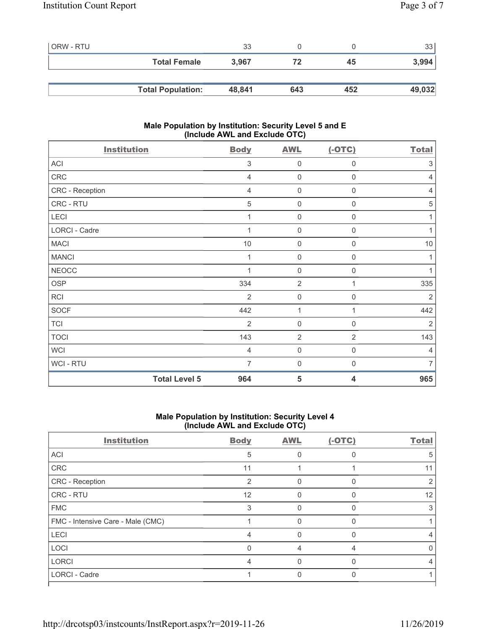| ORW - RTU |                          | 33     |     |     | 331    |
|-----------|--------------------------|--------|-----|-----|--------|
|           | <b>Total Female</b>      | 3,967  | 72  | 45  | 3,994  |
|           |                          |        |     |     |        |
|           | <b>Total Population:</b> | 48,841 | 643 | 452 | 49,032 |

### **Male Population by Institution: Security Level 5 and E (Include AWL and Exclude OTC)**

| <b>Institution</b>   | <b>Body</b>    | <b>AWL</b>          | $(-OTC)$                | <b>Total</b>   |
|----------------------|----------------|---------------------|-------------------------|----------------|
| <b>ACI</b>           | 3              | $\mathbf 0$         | 0                       | 3              |
| CRC                  | $\overline{4}$ | $\mathsf{O}\xspace$ | $\mathsf 0$             | 4              |
| CRC - Reception      | $\overline{4}$ | $\mathsf{O}\xspace$ | $\mathbf 0$             | 4              |
| CRC - RTU            | 5              | $\mathsf{O}\xspace$ | $\mathsf 0$             | 5              |
| LECI                 |                | $\mathsf{O}\xspace$ | $\mathsf{O}\xspace$     | 1              |
| LORCI - Cadre        |                | $\mathbf 0$         | $\boldsymbol{0}$        | 1              |
| <b>MACI</b>          | $10$           | $\mathbf 0$         | 0                       | 10             |
| <b>MANCI</b>         |                | $\mathbf 0$         | 0                       | 1              |
| <b>NEOCC</b>         |                | $\mathbf 0$         | 0                       | 1              |
| <b>OSP</b>           | 334            | $\overline{2}$      | 1                       | 335            |
| <b>RCI</b>           | $\overline{2}$ | $\mathbf 0$         | 0                       | $\overline{2}$ |
| <b>SOCF</b>          | 442            | 1                   | 1                       | 442            |
| <b>TCI</b>           | $\overline{2}$ | $\mathsf{O}\xspace$ | 0                       | $\overline{2}$ |
| <b>TOCI</b>          | 143            | $\overline{2}$      | $\overline{2}$          | 143            |
| <b>WCI</b>           | $\overline{4}$ | $\mathsf{O}\xspace$ | $\mathbf 0$             | $\overline{4}$ |
| <b>WCI-RTU</b>       | $\overline{7}$ | $\mathsf{O}\xspace$ | $\mathbf 0$             | $\overline{7}$ |
| <b>Total Level 5</b> | 964            | 5                   | $\overline{\mathbf{4}}$ | 965            |

### **Male Population by Institution: Security Level 4 (Include AWL and Exclude OTC)**

| <b>Institution</b>                | <b>Body</b>    | <b>AWL</b> | $(-OTC)$ | <b>Total</b> |
|-----------------------------------|----------------|------------|----------|--------------|
| <b>ACI</b>                        | 5              |            |          | 5            |
| CRC                               | 11             |            |          | 11           |
| <b>CRC</b> - Reception            | $\overline{2}$ | 0          | 0        |              |
| <b>CRC - RTU</b>                  | 12             | O          | n        | 12           |
| <b>FMC</b>                        | 3              | O          |          |              |
| FMC - Intensive Care - Male (CMC) |                |            |          |              |
| <b>LECI</b>                       | 4              | O          | O        |              |
| LOCI                              | $\Omega$       | 4          | 4        |              |
| <b>LORCI</b>                      | 4              | 0          | O        |              |
| <b>LORCI - Cadre</b>              |                |            |          |              |
|                                   |                |            |          |              |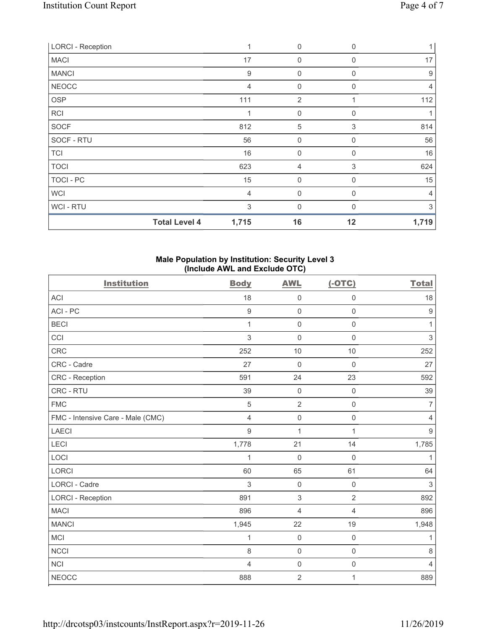| <b>LORCI - Reception</b> |                      | 1              | 0                | 0           |                |
|--------------------------|----------------------|----------------|------------------|-------------|----------------|
| <b>MACI</b>              |                      | 17             | $\overline{0}$   | $\Omega$    | 17             |
| <b>MANCI</b>             |                      | $9$            | $\mathbf 0$      | $\mathbf 0$ | 9              |
| <b>NEOCC</b>             |                      | $\overline{4}$ | $\mathbf 0$      | $\Omega$    | $\overline{4}$ |
| <b>OSP</b>               |                      | 111            | $\overline{2}$   |             | 112            |
| <b>RCI</b>               |                      | 1              | 0                | 0           |                |
| <b>SOCF</b>              |                      | 812            | 5                | 3           | 814            |
| SOCF - RTU               |                      | 56             | $\mathbf 0$      | $\Omega$    | 56             |
| <b>TCI</b>               |                      | 16             | $\boldsymbol{0}$ | 0           | 16             |
| <b>TOCI</b>              |                      | 623            | 4                | 3           | 624            |
| TOCI - PC                |                      | 15             | $\mathbf 0$      | $\Omega$    | 15             |
| <b>WCI</b>               |                      | $\overline{4}$ | $\boldsymbol{0}$ | $\Omega$    | 4              |
| WCI - RTU                |                      | 3              | $\overline{0}$   | $\Omega$    | 3              |
|                          | <b>Total Level 4</b> | 1,715          | 16               | 12          | 1,719          |

### **Male Population by Institution: Security Level 3 (Include AWL and Exclude OTC)**

| <b>Institution</b>                | <b>Body</b>  | <b>AWL</b>     | $(-OTC)$            | <b>Total</b>     |
|-----------------------------------|--------------|----------------|---------------------|------------------|
| <b>ACI</b>                        | 18           | $\mathbf 0$    | $\mathsf{O}\xspace$ | 18               |
| ACI-PC                            | 9            | $\mathbf 0$    | $\mathbf 0$         | $\boldsymbol{9}$ |
| <b>BECI</b>                       | $\mathbf{1}$ | $\mathbf 0$    | $\mathsf{O}\xspace$ | $\mathbf{1}$     |
| CCI                               | 3            | $\mathbf 0$    | $\mathbf 0$         | $\sqrt{3}$       |
| <b>CRC</b>                        | 252          | 10             | 10                  | 252              |
| CRC - Cadre                       | 27           | $\mathbf 0$    | $\mathbf 0$         | 27               |
| CRC - Reception                   | 591          | 24             | 23                  | 592              |
| CRC - RTU                         | 39           | $\mathbf 0$    | $\mathbf 0$         | 39               |
| <b>FMC</b>                        | 5            | $\overline{2}$ | $\mathbf 0$         | $\overline{7}$   |
| FMC - Intensive Care - Male (CMC) | 4            | $\mathbf 0$    | $\mathbf 0$         | $\overline{4}$   |
| <b>LAECI</b>                      | 9            | $\mathbf{1}$   | $\mathbf{1}$        | $9\,$            |
| LECI                              | 1,778        | 21             | 14                  | 1,785            |
| LOCI                              | 1            | $\mathbf 0$    | $\mathbf 0$         | 1                |
| LORCI                             | 60           | 65             | 61                  | 64               |
| LORCI - Cadre                     | 3            | $\mathbf 0$    | $\mathsf{O}\xspace$ | $\mathfrak{S}$   |
| <b>LORCI - Reception</b>          | 891          | $\mathbf{3}$   | $\overline{2}$      | 892              |
| <b>MACI</b>                       | 896          | $\overline{4}$ | $\overline{4}$      | 896              |
| <b>MANCI</b>                      | 1,945        | 22             | 19                  | 1,948            |
| <b>MCI</b>                        | $\mathbf{1}$ | $\mathbf 0$    | $\mathsf 0$         | $\mathbf{1}$     |
| <b>NCCI</b>                       | 8            | $\mathbf 0$    | $\mathbf 0$         | $\,8\,$          |
| NCI                               | 4            | $\mathbf 0$    | $\mathsf 0$         | $\overline{4}$   |
| <b>NEOCC</b>                      | 888          | $\overline{2}$ | 1                   | 889              |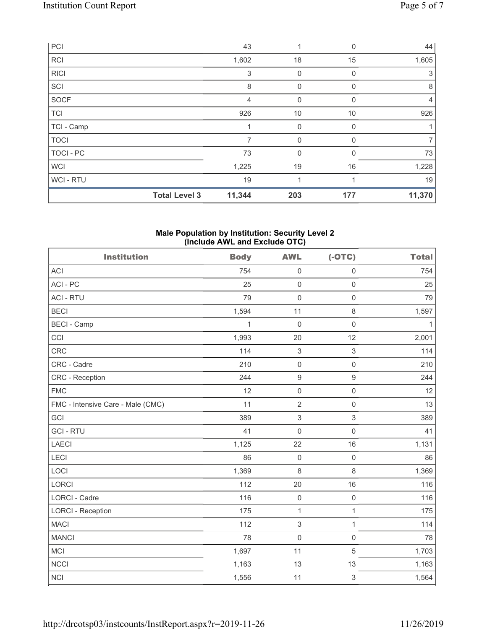| PCI            |                      | 43     | 1            | $\Omega$     | 44             |
|----------------|----------------------|--------|--------------|--------------|----------------|
| <b>RCI</b>     |                      | 1,602  | 18           | 15           | 1,605          |
| <b>RICI</b>    |                      | 3      | $\mathbf 0$  | $\Omega$     | 3              |
| SCI            |                      | 8      | $\mathbf{0}$ | $\Omega$     | 8              |
| SOCF           |                      | 4      | $\mathbf{0}$ | $\mathbf{0}$ | $\overline{4}$ |
| <b>TCI</b>     |                      | 926    | 10           | 10           | 926            |
| TCI - Camp     |                      |        | $\mathbf{0}$ | 0            |                |
| <b>TOCI</b>    |                      | 7      | 0            | 0            | $\overline{7}$ |
| TOCI - PC      |                      | 73     | $\mathbf{0}$ | 0            | 73             |
| <b>WCI</b>     |                      | 1,225  | 19           | 16           | 1,228          |
| <b>WCI-RTU</b> |                      | 19     | 1            |              | 19             |
|                | <b>Total Level 3</b> | 11,344 | 203          | 177          | 11,370         |

#### **Male Population by Institution: Security Level 2 (Include AWL and Exclude OTC)**

| <b>Institution</b>                | <b>Body</b> | <b>AWL</b>          | $(-OTC)$            | <b>Total</b> |
|-----------------------------------|-------------|---------------------|---------------------|--------------|
| <b>ACI</b>                        | 754         | $\mathsf{O}\xspace$ | $\mathsf{O}\xspace$ | 754          |
| ACI-PC                            | 25          | $\mathsf{O}\xspace$ | $\mathsf{O}\xspace$ | 25           |
| <b>ACI - RTU</b>                  | 79          | $\mathsf{O}\xspace$ | $\mathbf 0$         | 79           |
| <b>BECI</b>                       | 1,594       | 11                  | 8                   | 1,597        |
| <b>BECI - Camp</b>                | 1           | $\mathbf 0$         | $\mathbf 0$         | $\mathbf{1}$ |
| CCI                               | 1,993       | 20                  | 12                  | 2,001        |
| <b>CRC</b>                        | 114         | $\,$ 3 $\,$         | 3                   | 114          |
| CRC - Cadre                       | 210         | $\mathsf{O}\xspace$ | $\mathsf{O}\xspace$ | 210          |
| <b>CRC</b> - Reception            | 244         | $\boldsymbol{9}$    | 9                   | 244          |
| <b>FMC</b>                        | 12          | $\mathsf 0$         | $\mathsf{O}\xspace$ | 12           |
| FMC - Intensive Care - Male (CMC) | 11          | $\sqrt{2}$          | $\mathsf{O}\xspace$ | 13           |
| GCI                               | 389         | $\sqrt{3}$          | 3                   | 389          |
| <b>GCI-RTU</b>                    | 41          | $\mathsf{O}\xspace$ | $\mathsf{O}\xspace$ | 41           |
| LAECI                             | 1,125       | 22                  | 16                  | 1,131        |
| LECI                              | 86          | $\mathsf{O}\xspace$ | $\mathsf{O}\xspace$ | 86           |
| LOCI                              | 1,369       | 8                   | 8                   | 1,369        |
| <b>LORCI</b>                      | 112         | 20                  | 16                  | 116          |
| LORCI - Cadre                     | 116         | $\mathsf{O}\xspace$ | $\mathsf{O}\xspace$ | 116          |
| <b>LORCI - Reception</b>          | 175         | $\mathbf{1}$        | $\mathbf{1}$        | 175          |
| <b>MACI</b>                       | 112         | $\sqrt{3}$          | $\mathbf{1}$        | 114          |
| <b>MANCI</b>                      | 78          | $\mathbf 0$         | $\mathbf 0$         | 78           |
| <b>MCI</b>                        | 1,697       | 11                  | 5                   | 1,703        |
| <b>NCCI</b>                       | 1,163       | 13                  | 13                  | 1,163        |
| <b>NCI</b>                        | 1,556       | 11                  | 3                   | 1,564        |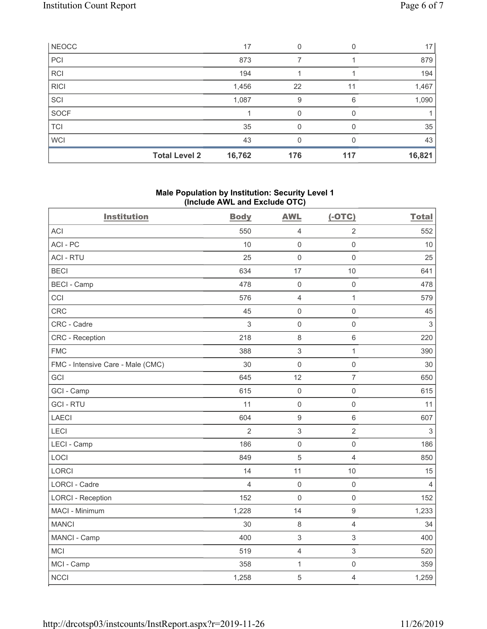| NEOCC       |                      | 17     | 0   |     | 17     |
|-------------|----------------------|--------|-----|-----|--------|
| PCI         |                      | 873    |     |     | 879    |
| <b>RCI</b>  |                      | 194    |     |     | 194    |
| <b>RICI</b> |                      | 1,456  | 22  | 11  | 1,467  |
| SCI         |                      | 1,087  | 9   | 6   | 1,090  |
| SOCF        |                      |        | 0   |     |        |
| <b>TCI</b>  |                      | 35     | O   |     | 35     |
| <b>WCI</b>  |                      | 43     | 0   |     | 43     |
|             | <b>Total Level 2</b> | 16,762 | 176 | 117 | 16,821 |

### **Male Population by Institution: Security Level 1 (Include AWL and Exclude OTC)**

| <b>Institution</b>                | <b>Body</b>    | <b>AWL</b>                | $(-OTC)$            | <b>Total</b>   |
|-----------------------------------|----------------|---------------------------|---------------------|----------------|
| <b>ACI</b>                        | 550            | $\overline{4}$            | $\overline{2}$      | 552            |
| ACI-PC                            | 10             | $\mathsf{O}\xspace$       | $\mathsf{O}\xspace$ | 10             |
| <b>ACI - RTU</b>                  | 25             | $\mathbf 0$               | $\mathsf{O}\xspace$ | 25             |
| <b>BECI</b>                       | 634            | 17                        | 10                  | 641            |
| <b>BECI - Camp</b>                | 478            | $\mathsf{O}\xspace$       | $\mathbf 0$         | 478            |
| CCI                               | 576            | $\overline{4}$            | $\mathbf{1}$        | 579            |
| CRC                               | 45             | $\mathsf 0$               | $\mathsf{O}\xspace$ | 45             |
| CRC - Cadre                       | 3              | $\mathsf 0$               | $\mathsf{O}\xspace$ | $\sqrt{3}$     |
| CRC - Reception                   | 218            | $\,8\,$                   | $6\,$               | 220            |
| <b>FMC</b>                        | 388            | $\,$ 3 $\,$               | $\mathbf{1}$        | 390            |
| FMC - Intensive Care - Male (CMC) | 30             | $\mathsf 0$               | $\mathsf{O}\xspace$ | 30             |
| GCI                               | 645            | 12                        | $\overline{7}$      | 650            |
| GCI - Camp                        | 615            | $\mathsf{O}\xspace$       | $\mathsf{O}\xspace$ | 615            |
| <b>GCI-RTU</b>                    | 11             | $\mathsf{O}\xspace$       | $\mathbf 0$         | 11             |
| LAECI                             | 604            | $\boldsymbol{9}$          | $\,6\,$             | 607            |
| LECI                              | $\overline{2}$ | $\sqrt{3}$                | $\overline{2}$      | $\sqrt{3}$     |
| LECI - Camp                       | 186            | $\mathsf{O}\xspace$       | $\mathsf{O}\xspace$ | 186            |
| LOCI                              | 849            | $\sqrt{5}$                | $\overline{4}$      | 850            |
| <b>LORCI</b>                      | 14             | 11                        | 10                  | 15             |
| <b>LORCI - Cadre</b>              | 4              | $\mathbf 0$               | $\mathsf{O}\xspace$ | $\overline{4}$ |
| <b>LORCI - Reception</b>          | 152            | $\mathbf 0$               | $\mathsf{O}\xspace$ | 152            |
| MACI - Minimum                    | 1,228          | 14                        | $\boldsymbol{9}$    | 1,233          |
| <b>MANCI</b>                      | 30             | $\,8\,$                   | $\overline{4}$      | 34             |
| MANCI - Camp                      | 400            | $\ensuremath{\mathsf{3}}$ | 3                   | 400            |
| <b>MCI</b>                        | 519            | $\overline{4}$            | 3                   | 520            |
| MCI - Camp                        | 358            | $\mathbf{1}$              | $\mathsf{O}\xspace$ | 359            |
| <b>NCCI</b>                       | 1,258          | $\sqrt{5}$                | $\overline{4}$      | 1,259          |